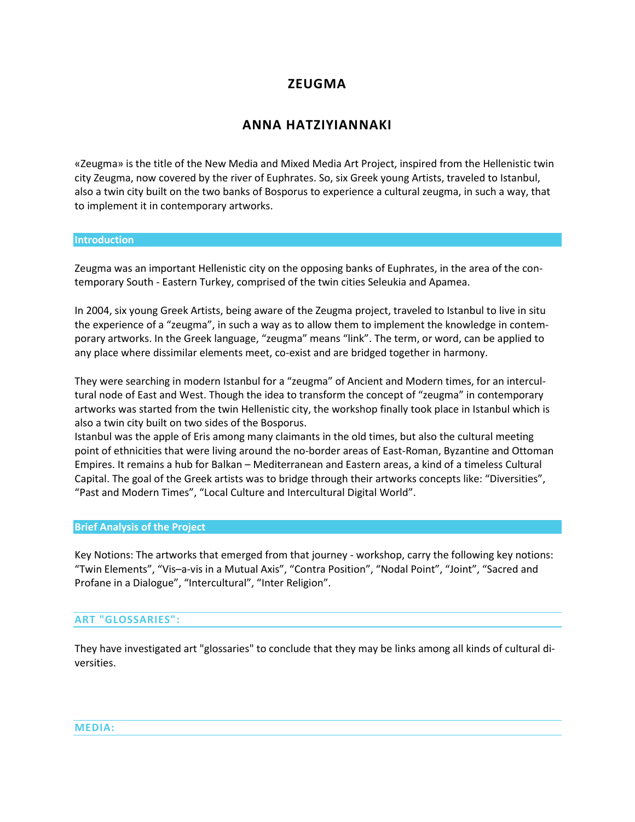# **ZEUGMA**

# **ANNA HATZIYIANNAKI**

«Zeugma» is the title of the New Media and Mixed Media Art Project, inspired from the Hellenistic twin city Zeugma, now covered by the river of Euphrates. So, six Greek young Artists, traveled to Istanbul, also a twin city built on the two banks of Bosporus to experience a cultural zeugma, in such a way, that to implement it in contemporary artworks.

#### **Introduction**

Zeugma was an important Hellenistic city on the opposing banks of Euphrates, in the area of the contemporary South - Eastern Turkey, comprised of the twin cities Seleukia and Apamea.

In 2004, six young Greek Artists, being aware of the Zeugma project, traveled to Istanbul to live in situ the experience of a "zeugma", in such a way as to allow them to implement the knowledge in contemporary artworks. In the Greek language, "zeugma" means "link". The term, or word, can be applied to any place where dissimilar elements meet, co-exist and are bridged together in harmony.

They were searching in modern Istanbul for a "zeugma" of Ancient and Modern times, for an intercultural node of East and West. Though the idea to transform the concept of "zeugma" in contemporary artworks was started from the twin Hellenistic city, the workshop finally took place in Istanbul which is also a twin city built on two sides of the Bosporus.

Istanbul was the apple of Eris among many claimants in the old times, but also the cultural meeting point of ethnicities that were living around the no-border areas of East-Roman, Byzantine and Ottoman Empires. It remains a hub for Balkan – Mediterranean and Eastern areas, a kind of a timeless Cultural Capital. The goal of the Greek artists was to bridge through their artworks concepts like: "Diversities", "Past and Modern Times", "Local Culture and Intercultural Digital World".

## **Brief Analysis of the Project**

Key Notions: The artworks that emerged from that journey - workshop, carry the following key notions: "Twin Elements", "Vis–a-vis in a Mutual Axis", "Contra Position", "Nodal Point", "Joint", "Sacred and Profane in a Dialogue", "Intercultural", "Inter Religion".

#### **ART "GLOSSARIES":**

They have investigated art "glossaries" to conclude that they may be links among all kinds of cultural diversities.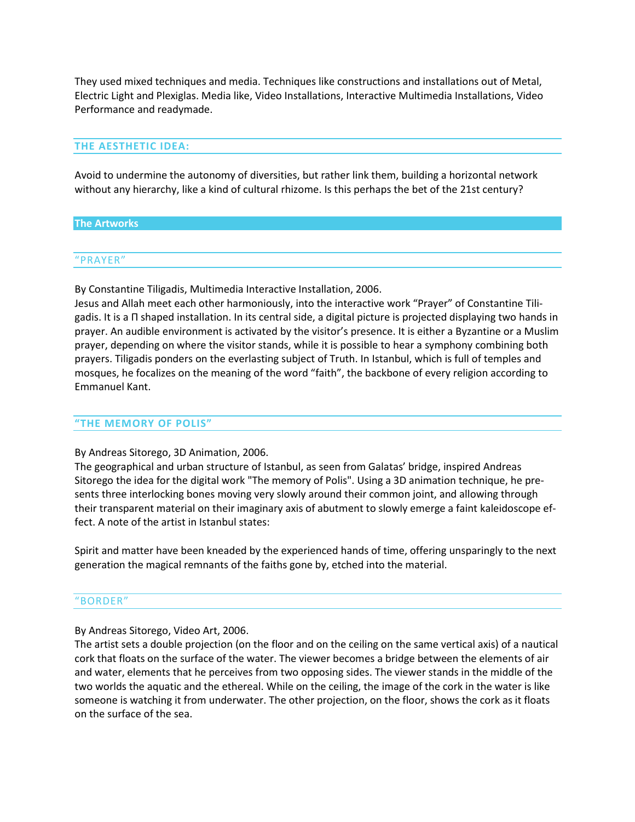They used mixed techniques and media. Techniques like constructions and installations out of Metal, Electric Light and Plexiglas. Media like, Video Installations, Interactive Multimedia Installations, Video Performance and readymade.

### **THE AESTHETIC IDEA:**

Avoid to undermine the autonomy of diversities, but rather link them, building a horizontal network without any hierarchy, like a kind of cultural rhizome. Is this perhaps the bet of the 21st century?

#### **The Artworks**

#### "PRAYER"

By Constantine Tiligadis, Multimedia Interactive Installation, 2006.

Jesus and Allah meet each other harmoniously, into the interactive work "Prayer" of Constantine Tiligadis. It is a Π shaped installation. In its central side, a digital picture is projected displaying two hands in prayer. An audible environment is activated by the visitor's presence. It is either a Byzantine or a Muslim prayer, depending on where the visitor stands, while it is possible to hear a symphony combining both prayers. Tiligadis ponders on the everlasting subject of Truth. In Istanbul, which is full of temples and mosques, he focalizes on the meaning of the word "faith", the backbone of every religion according to Emmanuel Kant.

#### **"THE MEMORY OF POLIS"**

#### By Andreas Sitorego, 3D Animation, 2006.

The geographical and urban structure of Istanbul, as seen from Galatas' bridge, inspired Andreas Sitorego the idea for the digital work "The memory of Polis". Using a 3D animation technique, he presents three interlocking bones moving very slowly around their common joint, and allowing through their transparent material on their imaginary axis of abutment to slowly emerge a faint kaleidoscope effect. A note of the artist in Istanbul states:

Spirit and matter have been kneaded by the experienced hands of time, offering unsparingly to the next generation the magical remnants of the faiths gone by, etched into the material.

#### "BORDER"

By Andreas Sitorego, Video Art, 2006.

The artist sets a double projection (on the floor and on the ceiling on the same vertical axis) of a nautical cork that floats on the surface of the water. The viewer becomes a bridge between the elements of air and water, elements that he perceives from two opposing sides. The viewer stands in the middle of the two worlds the aquatic and the ethereal. While on the ceiling, the image of the cork in the water is like someone is watching it from underwater. The other projection, on the floor, shows the cork as it floats on the surface of the sea.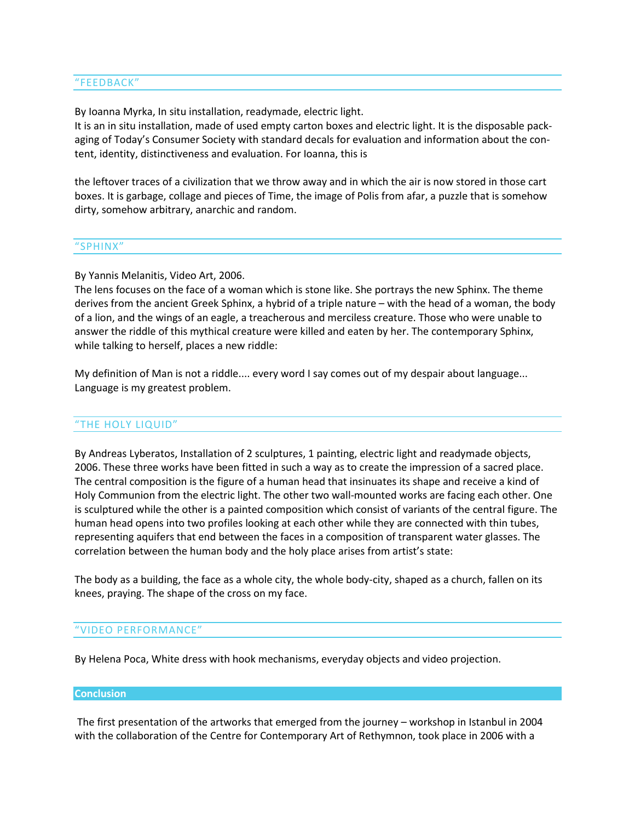### "FEEDBACK"

By Ioanna Myrka, In situ installation, readymade, electric light.

It is an in situ installation, made of used empty carton boxes and electric light. It is the disposable packaging of Today's Consumer Society with standard decals for evaluation and information about the content, identity, distinctiveness and evaluation. For Ioanna, this is

the leftover traces of a civilization that we throw away and in which the air is now stored in those cart boxes. It is garbage, collage and pieces of Time, the image of Polis from afar, a puzzle that is somehow dirty, somehow arbitrary, anarchic and random.

#### "SPHINX"

By Yannis Melanitis, Video Art, 2006.

The lens focuses on the face of a woman which is stone like. She portrays the new Sphinx. The theme derives from the ancient Greek Sphinx, a hybrid of a triple nature – with the head of a woman, the body of a lion, and the wings of an eagle, a treacherous and merciless creature. Those who were unable to answer the riddle of this mythical creature were killed and eaten by her. The contemporary Sphinx, while talking to herself, places a new riddle:

My definition of Man is not a riddle.... every word I say comes out of my despair about language... Language is my greatest problem.

### "THE HOLY LIQUID"

By Andreas Lyberatos, Installation of 2 sculptures, 1 painting, electric light and readymade objects, 2006. These three works have been fitted in such a way as to create the impression of a sacred place. The central composition is the figure of a human head that insinuates its shape and receive a kind of Holy Communion from the electric light. The other two wall-mounted works are facing each other. One is sculptured while the other is a painted composition which consist of variants of the central figure. The human head opens into two profiles looking at each other while they are connected with thin tubes, representing aquifers that end between the faces in a composition of transparent water glasses. The correlation between the human body and the holy place arises from artist's state:

The body as a building, the face as a whole city, the whole body-city, shaped as a church, fallen on its knees, praying. The shape of the cross on my face.

#### "VIDEO PERFORMANCE"

By Helena Poca, White dress with hook mechanisms, everyday objects and video projection.

#### **Conclusion**

The first presentation of the artworks that emerged from the journey – workshop in Istanbul in 2004 with the collaboration of the Centre for Contemporary Art of Rethymnon, took place in 2006 with a